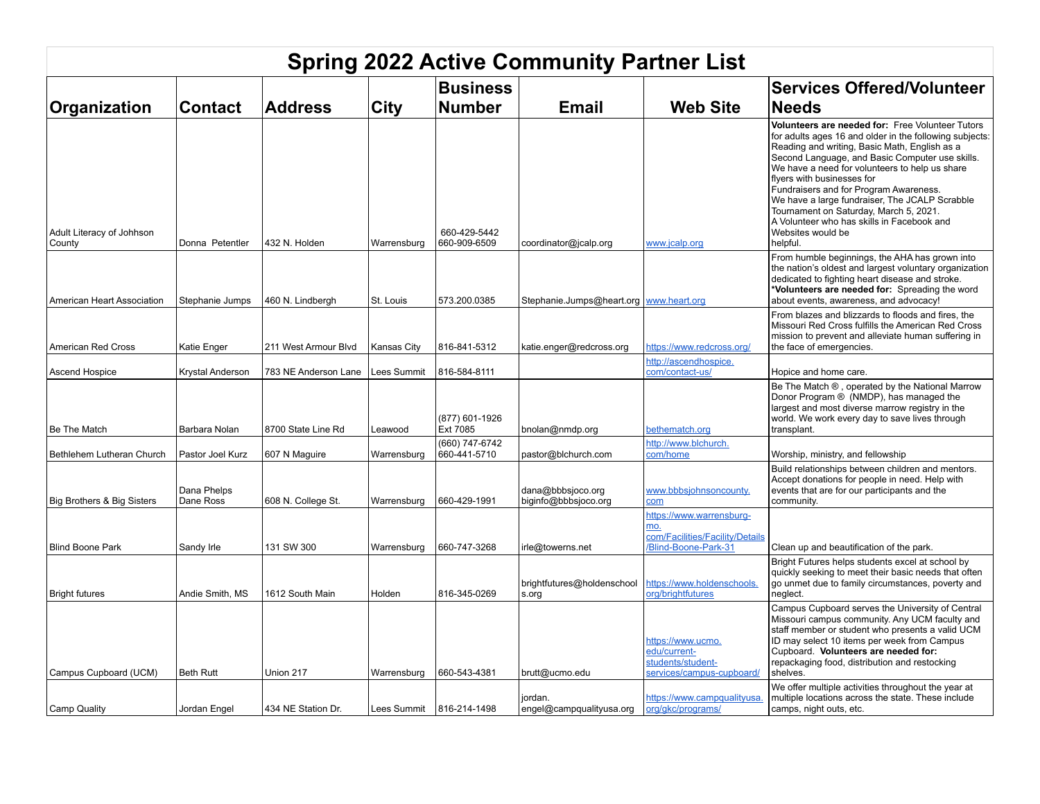| <b>Spring 2022 Active Community Partner List</b> |                          |                      |             |                                  |                                           |                                                                                           |                                                                                                                                                                                                                                                                                                                                                                                                                                                                                                                      |  |  |
|--------------------------------------------------|--------------------------|----------------------|-------------|----------------------------------|-------------------------------------------|-------------------------------------------------------------------------------------------|----------------------------------------------------------------------------------------------------------------------------------------------------------------------------------------------------------------------------------------------------------------------------------------------------------------------------------------------------------------------------------------------------------------------------------------------------------------------------------------------------------------------|--|--|
| Organization                                     | <b>Contact</b>           | <b>Address</b>       | <b>City</b> | <b>Business</b><br><b>Number</b> | <b>Email</b>                              | <b>Web Site</b>                                                                           | <b>Services Offered/Volunteer</b><br><b>Needs</b>                                                                                                                                                                                                                                                                                                                                                                                                                                                                    |  |  |
| Adult Literacy of Johhson<br>County              | Donna Petentler          | 432 N. Holden        | Warrensburg | 660-429-5442<br>660-909-6509     | coordinator@jcalp.org                     | www.jcalp.org                                                                             | Volunteers are needed for: Free Volunteer Tutors<br>for adults ages 16 and older in the following subjects:<br>Reading and writing, Basic Math, English as a<br>Second Language, and Basic Computer use skills.<br>We have a need for volunteers to help us share<br>flyers with businesses for<br>Fundraisers and for Program Awareness.<br>We have a large fundraiser, The JCALP Scrabble<br>Tournament on Saturday, March 5, 2021.<br>A Volunteer who has skills in Facebook and<br>Websites would be<br>helpful. |  |  |
| American Heart Association                       | Stephanie Jumps          | 460 N. Lindbergh     | St. Louis   | 573.200.0385                     | Stephanie.Jumps@heart.org   www.heart.org |                                                                                           | From humble beginnings, the AHA has grown into<br>the nation's oldest and largest voluntary organization<br>dedicated to fighting heart disease and stroke.<br>*Volunteers are needed for: Spreading the word<br>about events, awareness, and advocacy!                                                                                                                                                                                                                                                              |  |  |
| American Red Cross                               | Katie Enger              | 211 West Armour Blvd | Kansas City | 816-841-5312                     | katie.enger@redcross.org                  | https://www.redcross.org/                                                                 | From blazes and blizzards to floods and fires, the<br>Missouri Red Cross fulfills the American Red Cross<br>mission to prevent and alleviate human suffering in<br>the face of emergencies.                                                                                                                                                                                                                                                                                                                          |  |  |
| Ascend Hospice                                   | <b>Krystal Anderson</b>  | 783 NE Anderson Lane | Lees Summit | 816-584-8111                     |                                           | http://ascendhospice.<br>com/contact-us/                                                  | Hopice and home care.                                                                                                                                                                                                                                                                                                                                                                                                                                                                                                |  |  |
| Be The Match                                     | Barbara Nolan            | 8700 State Line Rd   | Leawood     | (877) 601-1926<br>Ext 7085       | bnolan@nmdp.org                           | bethematch.org                                                                            | Be The Match ®, operated by the National Marrow<br>Donor Program ® (NMDP), has managed the<br>largest and most diverse marrow registry in the<br>world. We work every day to save lives through<br>transplant.                                                                                                                                                                                                                                                                                                       |  |  |
| Bethlehem Lutheran Church                        | Pastor Joel Kurz         | 607 N Maguire        | Warrensburg | (660) 747-6742<br>660-441-5710   | pastor@blchurch.com                       | http://www.blchurch.<br>com/home                                                          | Worship, ministry, and fellowship                                                                                                                                                                                                                                                                                                                                                                                                                                                                                    |  |  |
| Big Brothers & Big Sisters                       | Dana Phelps<br>Dane Ross | 608 N. College St.   | Warrensburg | 660-429-1991                     | dana@bbbsjoco.org<br>biginfo@bbbsjoco.org | www.bbbsjohnsoncounty.<br>com                                                             | Build relationships between children and mentors.<br>Accept donations for people in need. Help with<br>events that are for our participants and the<br>community.                                                                                                                                                                                                                                                                                                                                                    |  |  |
| <b>Blind Boone Park</b>                          | Sandy Irle               | 131 SW 300           | Warrensburg | 660-747-3268                     | irle@towerns.net                          | https://www.warrensburg-<br>mo.<br>com/Facilities/Facility/Details<br>Blind-Boone-Park-31 | Clean up and beautification of the park.<br>Bright Futures helps students excel at school by                                                                                                                                                                                                                                                                                                                                                                                                                         |  |  |
| <b>Bright futures</b>                            | Andie Smith, MS          | 1612 South Main      | Holden      | 816-345-0269                     | brightfutures@holdenschool<br>s.org       | https://www.holdenschools.<br>org/brightfutures                                           | quickly seeking to meet their basic needs that often<br>go unmet due to family circumstances, poverty and<br>neglect.                                                                                                                                                                                                                                                                                                                                                                                                |  |  |
| Campus Cupboard (UCM)                            | <b>Beth Rutt</b>         | Union 217            | Warrensburg | 660-543-4381                     | brutt@ucmo.edu                            | https://www.ucmo.<br>edu/current-<br>students/student-<br>services/campus-cupboard/       | Campus Cupboard serves the University of Central<br>Missouri campus community. Any UCM faculty and<br>staff member or student who presents a valid UCM<br>ID may select 10 items per week from Campus<br>Cupboard. Volunteers are needed for:<br>repackaging food, distribution and restocking<br>shelves.<br>We offer multiple activities throughout the year at                                                                                                                                                    |  |  |
| Camp Quality                                     | Jordan Engel             | 434 NE Station Dr.   | Lees Summit | 816-214-1498                     | jordan.<br>engel@campqualityusa.org       | https://www.campqualityusa.<br>org/gkc/programs/                                          | multiple locations across the state. These include<br>camps, night outs, etc.                                                                                                                                                                                                                                                                                                                                                                                                                                        |  |  |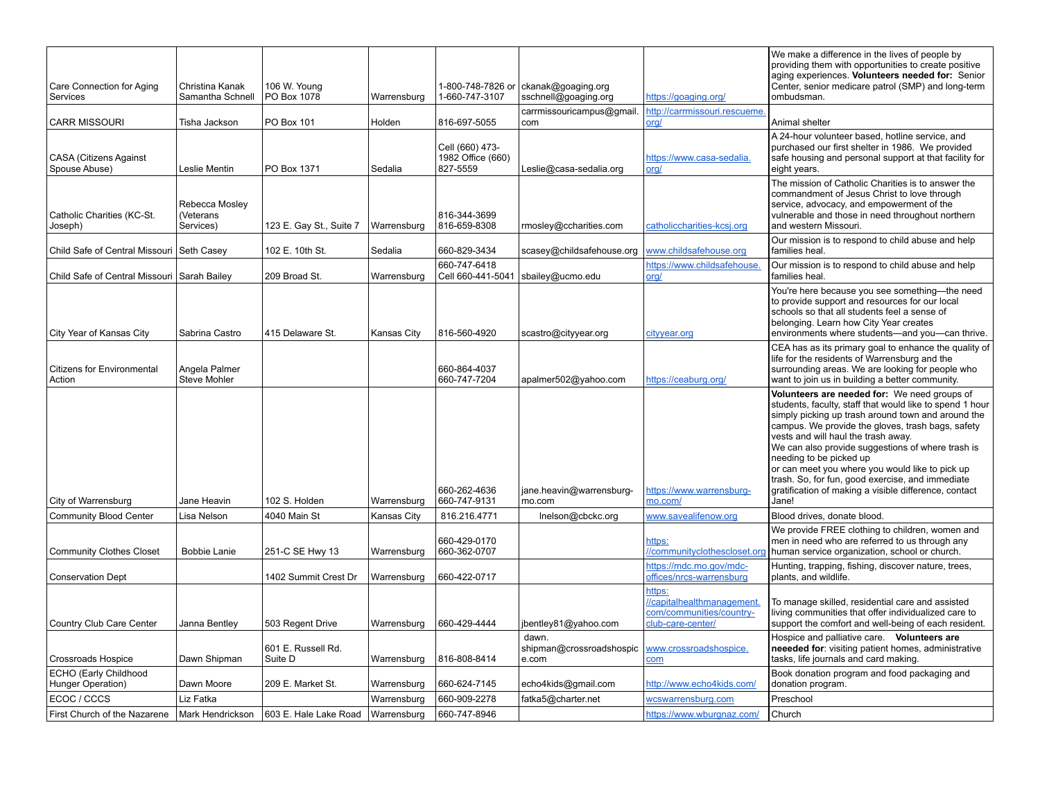| Care Connection for Aging<br>Services           | Christina Kanak<br>Samantha Schnell      | 106 W. Young<br>PO Box 1078   | Warrensburg | 1-800-748-7826 or<br>1-660-747-3107              | ckanak@goaging.org<br>sschnell@goaging.org | https://goaging.org/                                                                  | We make a difference in the lives of people by<br>providing them with opportunities to create positive<br>aging experiences. Volunteers needed for: Senior<br>Center, senior medicare patrol (SMP) and long-term<br>ombudsman.                                                                                                                                                                                                                                                                                      |
|-------------------------------------------------|------------------------------------------|-------------------------------|-------------|--------------------------------------------------|--------------------------------------------|---------------------------------------------------------------------------------------|---------------------------------------------------------------------------------------------------------------------------------------------------------------------------------------------------------------------------------------------------------------------------------------------------------------------------------------------------------------------------------------------------------------------------------------------------------------------------------------------------------------------|
| <b>CARR MISSOURI</b>                            | Tisha Jackson                            | PO Box 101                    | Holden      | 816-697-5055                                     | carrmissouricampus@gmail.<br>com           | http://carrmissouri.rescueme<br>org/                                                  | Animal shelter                                                                                                                                                                                                                                                                                                                                                                                                                                                                                                      |
| <b>CASA (Citizens Against</b><br>Spouse Abuse)  | Leslie Mentin                            | PO Box 1371                   | Sedalia     | Cell (660) 473-<br>1982 Office (660)<br>827-5559 | Leslie@casa-sedalia.org                    | https://www.casa-sedalia.<br>org/                                                     | A 24-hour volunteer based, hotline service, and<br>purchased our first shelter in 1986. We provided<br>safe housing and personal support at that facility for<br>eight years.                                                                                                                                                                                                                                                                                                                                       |
| Catholic Charities (KC-St.<br>Joseph)           | Rebecca Mosley<br>(Veterans<br>Services) | 123 E. Gay St., Suite 7       | Warrensburg | 816-344-3699<br>816-659-8308                     | rmosley@ccharities.com                     | catholiccharities-kcsj.org                                                            | The mission of Catholic Charities is to answer the<br>commandment of Jesus Christ to love through<br>service, advocacy, and empowerment of the<br>vulnerable and those in need throughout northern<br>and western Missouri.                                                                                                                                                                                                                                                                                         |
| Child Safe of Central Missouri Seth Casey       |                                          | 102 E. 10th St.               | Sedalia     | 660-829-3434                                     | scasey@childsafehouse.org                  | www.childsafehouse.org                                                                | Our mission is to respond to child abuse and help<br>families heal.                                                                                                                                                                                                                                                                                                                                                                                                                                                 |
| Child Safe of Central Missouri Sarah Bailey     |                                          | 209 Broad St.                 | Warrensburg | 660-747-6418<br>Cell 660-441-5041                | sbailey@ucmo.edu                           | https://www.childsafehouse.<br>org/                                                   | Our mission is to respond to child abuse and help<br>families heal.                                                                                                                                                                                                                                                                                                                                                                                                                                                 |
| City Year of Kansas City                        | Sabrina Castro                           | 415 Delaware St.              | Kansas City | 816-560-4920                                     | scastro@cityyear.org                       | cityyear.org                                                                          | You're here because you see something-the need<br>to provide support and resources for our local<br>schools so that all students feel a sense of<br>belonging. Learn how City Year creates<br>environments where students-and you-can thrive.                                                                                                                                                                                                                                                                       |
| <b>Citizens for Environmental</b><br>Action     | Angela Palmer<br><b>Steve Mohler</b>     |                               |             | 660-864-4037<br>660-747-7204                     | apalmer502@yahoo.com                       | https://ceaburg.org/                                                                  | CEA has as its primary goal to enhance the quality of<br>life for the residents of Warrensburg and the<br>surrounding areas. We are looking for people who<br>want to join us in building a better community.                                                                                                                                                                                                                                                                                                       |
| City of Warrensburg                             | Jane Heavin                              | 102 S. Holden                 | Warrensburg | 660-262-4636<br>660-747-9131                     | jane.heavin@warrensburg-<br>mo.com         | https://www.warrensburg-<br>mo.com/                                                   | Volunteers are needed for: We need groups of<br>students, faculty, staff that would like to spend 1 hour<br>simply picking up trash around town and around the<br>campus. We provide the gloves, trash bags, safety<br>vests and will haul the trash away.<br>We can also provide suggestions of where trash is<br>needing to be picked up<br>or can meet you where you would like to pick up<br>trash. So, for fun, good exercise, and immediate<br>gratification of making a visible difference, contact<br>Jane! |
| <b>Community Blood Center</b>                   | Lisa Nelson                              | 4040 Main St                  | Kansas City | 816.216.4771                                     | Inelson@cbckc.org                          | www.savealifenow.org                                                                  | Blood drives, donate blood.                                                                                                                                                                                                                                                                                                                                                                                                                                                                                         |
| <b>Community Clothes Closet</b>                 | <b>Bobbie Lanie</b>                      | 251-C SE Hwy 13               | Warrensburg | 660-429-0170<br>660-362-0707                     |                                            | https:<br>//communityclothescloset.org                                                | We provide FREE clothing to children, women and<br>men in need who are referred to us through any<br>human service organization, school or church.                                                                                                                                                                                                                                                                                                                                                                  |
| <b>Conservation Dept</b>                        |                                          | 1402 Summit Crest Dr          | Warrensburg | 660-422-0717                                     |                                            | https://mdc.mo.gov/mdc-<br>offices/nrcs-warrensburg                                   | Hunting, trapping, fishing, discover nature, trees,<br>plants, and wildlife.                                                                                                                                                                                                                                                                                                                                                                                                                                        |
| Country Club Care Center                        | Janna Bentley                            | 503 Regent Drive              | Warrensburg | 660-429-4444                                     | jbentley81@yahoo.com                       | https:<br>//capitalhealthmanagement.<br>com/communities/country-<br>club-care-center/ | To manage skilled, residential care and assisted<br>living communities that offer individualized care to<br>support the comfort and well-being of each resident.                                                                                                                                                                                                                                                                                                                                                    |
| <b>Crossroads Hospice</b>                       | Dawn Shipman                             | 601 E. Russell Rd.<br>Suite D | Warrensburg | 816-808-8414                                     | dawn.<br>shipman@crossroadshospic<br>e.com | www.crossroadshospice.<br>com                                                         | Hospice and palliative care. Volunteers are<br>neeeded for: visiting patient homes, administrative<br>tasks, life journals and card making.                                                                                                                                                                                                                                                                                                                                                                         |
| ECHO (Early Childhood<br>Hunger Operation)      | Dawn Moore                               | 209 E. Market St.             | Warrensburg | 660-624-7145                                     | echo4kids@gmail.com                        | http://www.echo4kids.com/                                                             | Book donation program and food packaging and<br>donation program.                                                                                                                                                                                                                                                                                                                                                                                                                                                   |
| ECOC / CCCS                                     | Liz Fatka                                |                               | Warrensburg | 660-909-2278                                     | fatka5@charter.net                         | wcswarrensburg.com                                                                    | Preschool                                                                                                                                                                                                                                                                                                                                                                                                                                                                                                           |
| First Church of the Nazarene   Mark Hendrickson |                                          | 603 E. Hale Lake Road         | Warrensburg | 660-747-8946                                     |                                            | https://www.wburgnaz.com/                                                             | Church                                                                                                                                                                                                                                                                                                                                                                                                                                                                                                              |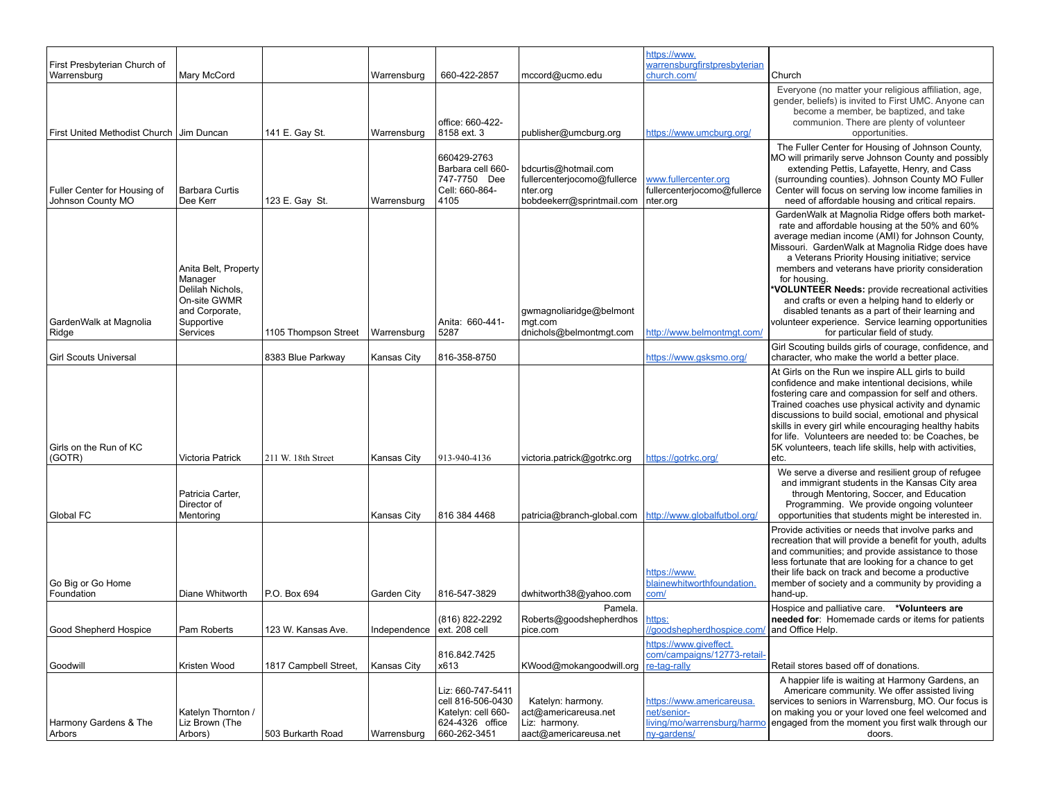| First Presbyterian Church of                              |                                                                                                                 |                       |                            |                                                                                                 |                                                                                              | https://www.<br>warrensburgfirstpresbyterian                                           |                                                                                                                                                                                                                                                                                                                                                                                                                                                                                                                                                                                       |
|-----------------------------------------------------------|-----------------------------------------------------------------------------------------------------------------|-----------------------|----------------------------|-------------------------------------------------------------------------------------------------|----------------------------------------------------------------------------------------------|----------------------------------------------------------------------------------------|---------------------------------------------------------------------------------------------------------------------------------------------------------------------------------------------------------------------------------------------------------------------------------------------------------------------------------------------------------------------------------------------------------------------------------------------------------------------------------------------------------------------------------------------------------------------------------------|
| Warrensburg<br>First United Methodist Church   Jim Duncan | Mary McCord                                                                                                     | 141 E. Gay St.        | Warrensburg<br>Warrensburg | 660-422-2857<br>office: 660-422-<br>8158 ext. 3                                                 | mccord@ucmo.edu<br>publisher@umcburg.org                                                     | church.com/<br>https://www.umcburg.org/                                                | Church<br>Everyone (no matter your religious affiliation, age,<br>gender, beliefs) is invited to First UMC. Anyone can<br>become a member, be baptized, and take<br>communion. There are plenty of volunteer<br>opportunities.                                                                                                                                                                                                                                                                                                                                                        |
| Fuller Center for Housing of<br>Johnson County MO         | <b>Barbara Curtis</b><br>Dee Kerr                                                                               | 123 E. Gay St.        | Warrensburg                | 660429-2763<br>Barbara cell 660-<br>747-7750 Dee<br>Cell: 660-864-<br>4105                      | bdcurtis@hotmail.com<br>fullercenterjocomo@fullerce<br>nter.org<br>bobdeekerr@sprintmail.com | www.fullercenter.org<br>fullercenterjocomo@fullerce<br>nter.org                        | The Fuller Center for Housing of Johnson County,<br>MO will primarily serve Johnson County and possibly<br>extending Pettis, Lafayette, Henry, and Cass<br>(surrounding counties). Johnson County MO Fuller<br>Center will focus on serving low income families in<br>need of affordable housing and critical repairs.                                                                                                                                                                                                                                                                |
| GardenWalk at Magnolia<br>Ridge                           | Anita Belt, Property<br>Manager<br>Delilah Nichols,<br>On-site GWMR<br>and Corporate,<br>Supportive<br>Services | 1105 Thompson Street  | Warrensburg                | Anita: 660-441-<br>5287                                                                         | gwmagnoliaridge@belmont<br>mgt.com<br>dnichols@belmontmgt.com                                | http://www.belmontmgt.com/                                                             | GardenWalk at Magnolia Ridge offers both market-<br>rate and affordable housing at the 50% and 60%<br>average median income (AMI) for Johnson County,<br>Missouri. GardenWalk at Magnolia Ridge does have<br>a Veterans Priority Housing initiative; service<br>members and veterans have priority consideration<br>for housing.<br>VOLUNTEER Needs: provide recreational activities<br>and crafts or even a helping hand to elderly or<br>disabled tenants as a part of their learning and<br>volunteer experience. Service learning opportunities<br>for particular field of study. |
| <b>Girl Scouts Universal</b>                              |                                                                                                                 | 8383 Blue Parkway     | Kansas City                | 816-358-8750                                                                                    |                                                                                              | https://www.qsksmo.org/                                                                | Girl Scouting builds girls of courage, confidence, and<br>character, who make the world a better place.                                                                                                                                                                                                                                                                                                                                                                                                                                                                               |
| Girls on the Run of KC<br>(GOTR)                          | Victoria Patrick                                                                                                | 211 W. 18th Street    | Kansas City                | 913-940-4136                                                                                    | victoria.patrick@gotrkc.org                                                                  | https://gotrkc.org/                                                                    | At Girls on the Run we inspire ALL girls to build<br>confidence and make intentional decisions, while<br>fostering care and compassion for self and others.<br>Trained coaches use physical activity and dynamic<br>discussions to build social, emotional and physical<br>skills in every girl while encouraging healthy habits<br>for life. Volunteers are needed to: be Coaches, be<br>5K volunteers, teach life skills, help with activities,<br>etc.                                                                                                                             |
| Global FC                                                 | Patricia Carter,<br>Director of<br>Mentoring                                                                    |                       | <b>Kansas City</b>         | 816 384 4468                                                                                    | patricia@branch-global.com                                                                   | http://www.globalfutbol.org/                                                           | We serve a diverse and resilient group of refugee<br>and immigrant students in the Kansas City area<br>through Mentoring, Soccer, and Education<br>Programming. We provide ongoing volunteer<br>opportunities that students might be interested in.                                                                                                                                                                                                                                                                                                                                   |
| Go Big or Go Home<br>Foundation                           | Diane Whitworth                                                                                                 | P.O. Box 694          | Garden City                | 816-547-3829                                                                                    | dwhitworth38@yahoo.com                                                                       | https://www.<br>blainewhitworthfoundation.<br>com/                                     | Provide activities or needs that involve parks and<br>recreation that will provide a benefit for youth, adults<br>and communities; and provide assistance to those<br>less fortunate that are looking for a chance to get<br>their life back on track and become a productive<br>member of society and a community by providing a<br>hand-up.                                                                                                                                                                                                                                         |
| Good Shepherd Hospice                                     | Pam Roberts                                                                                                     | 123 W. Kansas Ave.    | Independence ext. 208 cell | (816) 822-2292                                                                                  | Pamela.<br>Roberts@goodshepherdhos<br>pice.com                                               | https:<br>//goodshepherdhospice.com/                                                   | Hospice and palliative care. *Volunteers are<br>needed for: Homemade cards or items for patients<br>and Office Help.                                                                                                                                                                                                                                                                                                                                                                                                                                                                  |
| Goodwill                                                  | Kristen Wood                                                                                                    | 1817 Campbell Street, | Kansas City                | 816.842.7425<br>x613                                                                            | KWood@mokangoodwill.org                                                                      | https://www.giveffect.<br>com/campaigns/12773-retail-<br>re-tag-rally                  | Retail stores based off of donations.                                                                                                                                                                                                                                                                                                                                                                                                                                                                                                                                                 |
| Harmony Gardens & The<br>Arbors                           | Katelyn Thornton /<br>Liz Brown (The<br>Arbors)                                                                 | 503 Burkarth Road     | Warrensburg                | Liz: 660-747-5411<br>cell 816-506-0430<br>Katelyn: cell 660-<br>624-4326 office<br>660-262-3451 | Katelyn: harmony.<br>act@americareusa.net<br>Liz: harmony.<br>aact@americareusa.net          | https://www.americareusa.<br>net/senior-<br>living/mo/warrensburg/harmo<br>ny-gardens/ | A happier life is waiting at Harmony Gardens, an<br>Americare community. We offer assisted living<br>services to seniors in Warrensburg, MO. Our focus is<br>on making you or your loved one feel welcomed and<br>engaged from the moment you first walk through our<br>doors.                                                                                                                                                                                                                                                                                                        |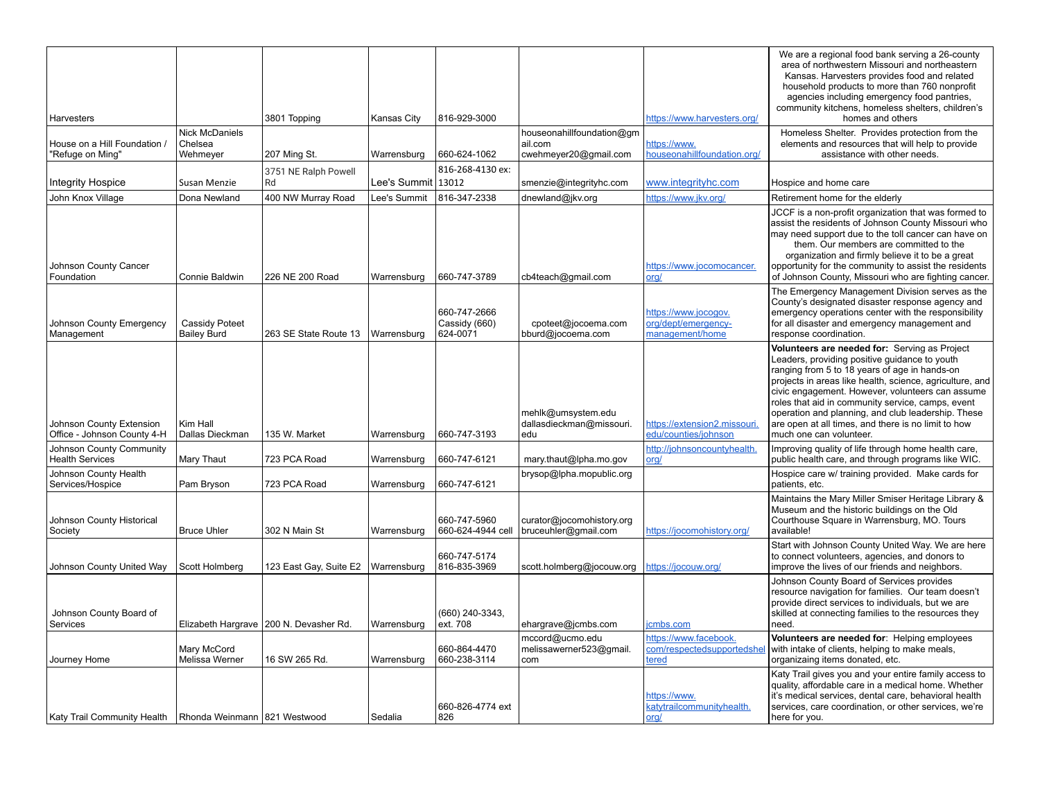| Harvesters                                                   |                                              | 3801 Topping                             | Kansas City        | 816-929-3000                              |                                                               | https://www.harvesters.org/                                    | We are a regional food bank serving a 26-county<br>area of northwestern Missouri and northeastern<br>Kansas. Harvesters provides food and related<br>household products to more than 760 nonprofit<br>agencies including emergency food pantries,<br>community kitchens, homeless shelters, children's<br>homes and others                                                                                                                                   |
|--------------------------------------------------------------|----------------------------------------------|------------------------------------------|--------------------|-------------------------------------------|---------------------------------------------------------------|----------------------------------------------------------------|--------------------------------------------------------------------------------------------------------------------------------------------------------------------------------------------------------------------------------------------------------------------------------------------------------------------------------------------------------------------------------------------------------------------------------------------------------------|
| House on a Hill Foundation /<br>'Refuge on Ming"             | <b>Nick McDaniels</b><br>Chelsea<br>Wehmeyer | 207 Ming St.                             | Warrensburg        | 660-624-1062                              | houseonahillfoundation@gm<br>ail.com<br>cwehmeyer20@gmail.com | https://www.<br>nouseonahillfoundation.org/                    | Homeless Shelter. Provides protection from the<br>elements and resources that will help to provide<br>assistance with other needs.                                                                                                                                                                                                                                                                                                                           |
| <b>Integrity Hospice</b>                                     | Susan Menzie                                 | 3751 NE Ralph Powell<br>Rd               | Lee's Summit 13012 | 816-268-4130 ex:                          | smenzie@integrityhc.com                                       | www.integrityhc.com                                            | Hospice and home care                                                                                                                                                                                                                                                                                                                                                                                                                                        |
| John Knox Village                                            | Dona Newland                                 | 400 NW Murray Road                       | Lee's Summit       | 816-347-2338                              | dnewland@jkv.org                                              | https://www.jkv.org/                                           | Retirement home for the elderly                                                                                                                                                                                                                                                                                                                                                                                                                              |
| Johnson County Cancer<br>Foundation                          | Connie Baldwin                               | 226 NE 200 Road                          | Warrensburg        | 660-747-3789                              | cb4teach@gmail.com                                            | https://www.jocomocancer.<br>org/                              | JCCF is a non-profit organization that was formed to<br>assist the residents of Johnson County Missouri who<br>may need support due to the toll cancer can have on<br>them. Our members are committed to the<br>organization and firmly believe it to be a great<br>opportunity for the community to assist the residents<br>of Johnson County, Missouri who are fighting cancer.                                                                            |
| Johnson County Emergency<br>Management                       | Cassidy Poteet<br><b>Bailey Burd</b>         | 263 SE State Route 13                    | Warrensburg        | 660-747-2666<br>Cassidy (660)<br>624-0071 | cpoteet@jocoema.com<br>bburd@jocoema.com                      | https://www.jocogov.<br>org/dept/emergency-<br>management/home | The Emergency Management Division serves as the<br>County's designated disaster response agency and<br>emergency operations center with the responsibility<br>for all disaster and emergency management and<br>response coordination.                                                                                                                                                                                                                        |
| Johnson County Extension<br>Office - Johnson County 4-H      | Kim Hall<br>Dallas Dieckman                  | 135 W. Market                            | Warrensburg        | 660-747-3193                              | mehlk@umsystem.edu<br>dallasdieckman@missouri.<br>edu         | https://extension2.missouri.<br>edu/counties/johnson           | Volunteers are needed for: Serving as Project<br>Leaders, providing positive guidance to youth<br>ranging from 5 to 18 years of age in hands-on<br>projects in areas like health, science, agriculture, and<br>civic engagement. However, volunteers can assume<br>roles that aid in community service, camps, event<br>operation and planning, and club leadership. These<br>are open at all times, and there is no limit to how<br>much one can volunteer. |
| Johnson County Community<br><b>Health Services</b>           | Mary Thaut                                   | 723 PCA Road                             | Warrensburg        | 660-747-6121                              | mary.thaut@lpha.mo.gov                                        | http://johnsoncountyhealth<br><u>org/</u>                      | Improving quality of life through home health care,<br>public health care, and through programs like WIC.                                                                                                                                                                                                                                                                                                                                                    |
| Johnson County Health<br>Services/Hospice                    | Pam Bryson                                   | 723 PCA Road                             | Warrensburg        | 660-747-6121                              | brysop@lpha.mopublic.org                                      |                                                                | Hospice care w/ training provided. Make cards for<br>patients, etc.                                                                                                                                                                                                                                                                                                                                                                                          |
| Johnson County Historical<br>Society                         | <b>Bruce Uhler</b>                           | 302 N Main St                            | Warrensburg        | 660-747-5960<br>660-624-4944 cell         | curator@jocomohistory.org<br>bruceuhler@gmail.com             | https://jocomohistory.org/                                     | Maintains the Mary Miller Smiser Heritage Library &<br>Museum and the historic buildings on the Old<br>Courthouse Square in Warrensburg, MO. Tours<br>available!                                                                                                                                                                                                                                                                                             |
| Johnson County United Way                                    | Scott Holmberg                               | 123 East Gay, Suite E2                   | Warrensburg        | 660-747-5174<br>816-835-3969              | scott.holmberg@jocouw.org                                     | https://jocouw.org/                                            | Start with Johnson County United Way. We are here<br>to connect volunteers, agencies, and donors to<br>improve the lives of our friends and neighbors.                                                                                                                                                                                                                                                                                                       |
| Johnson County Board of<br>Services                          |                                              | Elizabeth Hargrave   200 N. Devasher Rd. | Warrensburg        | (660) 240-3343,<br>ext. 708               | ehargrave@jcmbs.com                                           | cmbs.com                                                       | Johnson County Board of Services provides<br>resource navigation for families. Our team doesn't<br>provide direct services to individuals, but we are<br>skilled at connecting families to the resources they<br>need.                                                                                                                                                                                                                                       |
| Journey Home                                                 | Mary McCord<br>Melissa Werner                | 16 SW 265 Rd.                            | Warrensburg        | 660-864-4470<br>660-238-3114              | mccord@ucmo.edu<br>melissawerner523@gmail.<br>com             | https://www.facebook.<br>com/respectedsupportedsh<br>tered     | Volunteers are needed for: Helping employees<br>with intake of clients, helping to make meals,<br>organizaing items donated, etc.                                                                                                                                                                                                                                                                                                                            |
| Katy Trail Community Health   Rhonda Weinmann   821 Westwood |                                              |                                          | Sedalia            | 660-826-4774 ext<br>826                   |                                                               | https://www.<br>katytrailcommunityhealth.<br>org/              | Katy Trail gives you and your entire family access to<br>quality, affordable care in a medical home. Whether<br>it's medical services, dental care, behavioral health<br>services, care coordination, or other services, we're<br>here for you.                                                                                                                                                                                                              |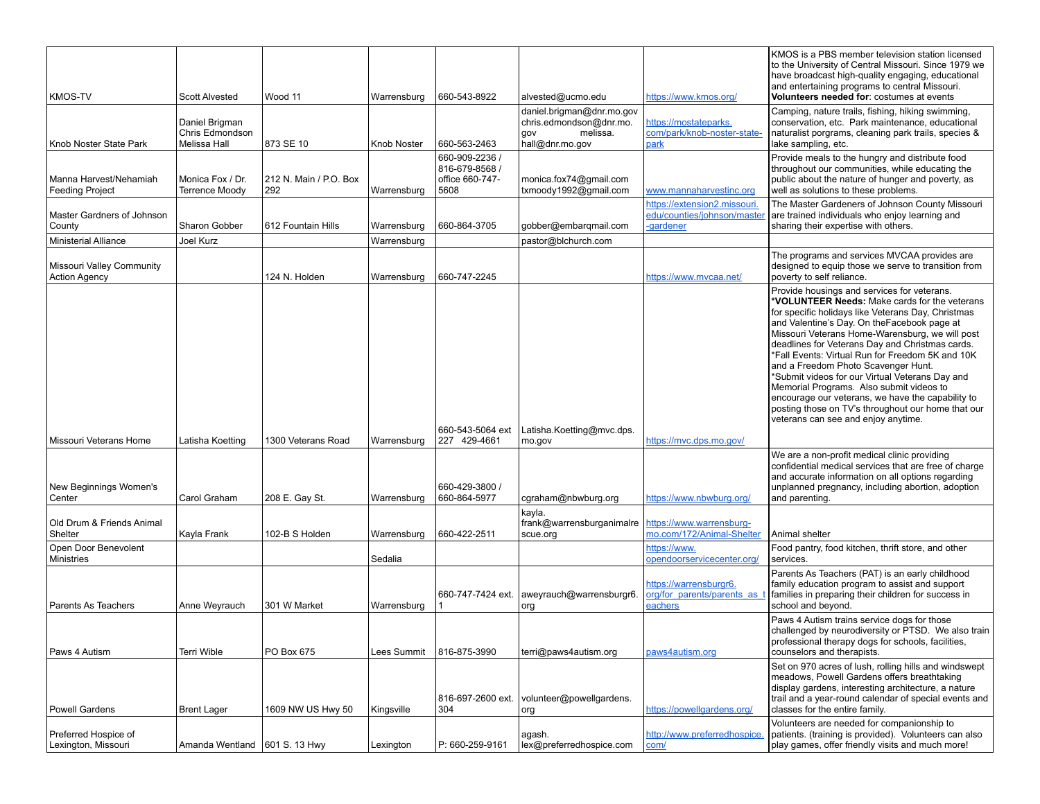| <b>KMOS-TV</b>                                    | <b>Scott Alvested</b>                                    | Wood 11                       | Warrensburg | 660-543-8922                                                | alvested@ucmo.edu                                                                          | https://www.kmos.org/                                                  | KMOS is a PBS member television station licensed<br>to the University of Central Missouri. Since 1979 we<br>have broadcast high-quality engaging, educational<br>and entertaining programs to central Missouri.<br>Volunteers needed for: costumes at events                                                                                                                                                                                                                                                                                                                                                                                         |
|---------------------------------------------------|----------------------------------------------------------|-------------------------------|-------------|-------------------------------------------------------------|--------------------------------------------------------------------------------------------|------------------------------------------------------------------------|------------------------------------------------------------------------------------------------------------------------------------------------------------------------------------------------------------------------------------------------------------------------------------------------------------------------------------------------------------------------------------------------------------------------------------------------------------------------------------------------------------------------------------------------------------------------------------------------------------------------------------------------------|
| Knob Noster State Park                            | Daniel Brigman<br>Chris Edmondson<br><b>Melissa Hall</b> | 873 SE 10                     | Knob Noster | 660-563-2463                                                | daniel.brigman@dnr.mo.gov<br>chris.edmondson@dnr.mo.<br>melissa.<br>vop<br>hall@dnr.mo.gov | https://mostateparks.<br>com/park/knob-noster-state-<br>park           | Camping, nature trails, fishing, hiking swimming,<br>conservation, etc. Park maintenance, educational<br>naturalist porgrams, cleaning park trails, species &<br>lake sampling, etc.                                                                                                                                                                                                                                                                                                                                                                                                                                                                 |
| Manna Harvest/Nehamiah<br><b>Feeding Project</b>  | Monica Fox / Dr.<br><b>Terrence Moody</b>                | 212 N. Main / P.O. Box<br>292 | Warrensburg | 660-909-2236 /<br>816-679-8568 /<br>office 660-747-<br>5608 | monica.fox74@gmail.com<br>txmoody1992@gmail.com                                            | www.mannaharvestinc.org                                                | Provide meals to the hungry and distribute food<br>throughout our communities, while educating the<br>public about the nature of hunger and poverty, as<br>well as solutions to these problems.                                                                                                                                                                                                                                                                                                                                                                                                                                                      |
| Master Gardners of Johnson<br>County              | Sharon Gobber                                            | 612 Fountain Hills            | Warrensburg | 660-864-3705                                                | gobber@embarqmail.com                                                                      | https://extension2.missouri<br>edu/counties/johnson/master<br>gardener | The Master Gardeners of Johnson County Missouri<br>are trained individuals who enjoy learning and<br>sharing their expertise with others.                                                                                                                                                                                                                                                                                                                                                                                                                                                                                                            |
| <b>Ministerial Alliance</b>                       | Joel Kurz                                                |                               | Warrensburg |                                                             | pastor@blchurch.com                                                                        |                                                                        |                                                                                                                                                                                                                                                                                                                                                                                                                                                                                                                                                                                                                                                      |
| Missouri Valley Community<br><b>Action Agency</b> |                                                          | 124 N. Holden                 | Warrensburg | 660-747-2245                                                |                                                                                            | https://www.mvcaa.net/                                                 | The programs and services MVCAA provides are<br>designed to equip those we serve to transition from<br>poverty to self reliance.                                                                                                                                                                                                                                                                                                                                                                                                                                                                                                                     |
| Missouri Veterans Home                            | Latisha Koetting                                         | 1300 Veterans Road            | Warrensburg | 660-543-5064 ext<br>227 429-4661                            | Latisha.Koetting@mvc.dps.<br>mo.gov                                                        | https://mvc.dps.mo.gov/                                                | Provide housings and services for veterans.<br>*VOLUNTEER Needs: Make cards for the veterans<br>for specific holidays like Veterans Day, Christmas<br>and Valentine's Day. On the Facebook page at<br>Missouri Veterans Home-Warensburg, we will post<br>deadlines for Veterans Day and Christmas cards.<br>*Fall Events: Virtual Run for Freedom 5K and 10K<br>and a Freedom Photo Scavenger Hunt.<br>*Submit videos for our Virtual Veterans Day and<br>Memorial Programs. Also submit videos to<br>encourage our veterans, we have the capability to<br>posting those on TV's throughout our home that our<br>veterans can see and enjoy anytime. |
| New Beginnings Women's<br>Center                  | Carol Graham                                             | 208 E. Gay St.                | Warrensburg | 660-429-3800 /<br>660-864-5977                              | cgraham@nbwburg.org                                                                        | https://www.nbwburg.org/                                               | We are a non-profit medical clinic providing<br>confidential medical services that are free of charge<br>and accurate information on all options regarding<br>unplanned pregnancy, including abortion, adoption<br>and parenting.                                                                                                                                                                                                                                                                                                                                                                                                                    |
| Old Drum & Friends Animal<br>Shelter              | Kayla Frank                                              | 102-B S Holden                | Warrensburg | 660-422-2511                                                | kayla.<br>frank@warrensburganimalre<br>scue.org                                            | https://www.warrensburg-<br>mo.com/172/Animal-Shelter                  | Animal shelter                                                                                                                                                                                                                                                                                                                                                                                                                                                                                                                                                                                                                                       |
| Open Door Benevolent<br><b>Ministries</b>         |                                                          |                               | Sedalia     |                                                             |                                                                                            | https://www.<br>opendoorservicecenter.org/                             | Food pantry, food kitchen, thrift store, and other<br>services.                                                                                                                                                                                                                                                                                                                                                                                                                                                                                                                                                                                      |
| Parents As Teachers                               | Anne Weyrauch                                            | 301 W Market                  | Warrensburg | 660-747-7424 ext.                                           | aweyrauch@warrensburgr6.<br>org                                                            | https://warrensburgr6.<br>org/for parents/parents as<br>eachers        | Parents As Teachers (PAT) is an early childhood<br>family education program to assist and support<br>families in preparing their children for success in<br>school and beyond.                                                                                                                                                                                                                                                                                                                                                                                                                                                                       |
| Paws 4 Autism                                     | <b>Terri Wible</b>                                       | PO Box 675                    | Lees Summit | 816-875-3990                                                | terri@paws4autism.org                                                                      | paws4autism.org                                                        | Paws 4 Autism trains service dogs for those<br>challenged by neurodiversity or PTSD. We also train<br>professional therapy dogs for schools, facilities,<br>counselors and therapists.                                                                                                                                                                                                                                                                                                                                                                                                                                                               |
| <b>Powell Gardens</b>                             | <b>Brent Lager</b>                                       | 1609 NW US Hwy 50             | Kingsville  | 816-697-2600 ext.<br>304                                    | volunteer@powellgardens.<br>org                                                            | https://powellgardens.org/                                             | Set on 970 acres of lush, rolling hills and windswept<br>meadows, Powell Gardens offers breathtaking<br>display gardens, interesting architecture, a nature<br>trail and a year-round calendar of special events and<br>classes for the entire family.                                                                                                                                                                                                                                                                                                                                                                                               |
| Preferred Hospice of<br>Lexington, Missouri       | Amanda Wentland   601 S. 13 Hwy                          |                               | Lexington   | P: 660-259-9161                                             | agash.<br>lex@preferredhospice.com                                                         | http://www.preferredhospice.<br>com/                                   | Volunteers are needed for companionship to<br>patients. (training is provided). Volunteers can also<br>play games, offer friendly visits and much more!                                                                                                                                                                                                                                                                                                                                                                                                                                                                                              |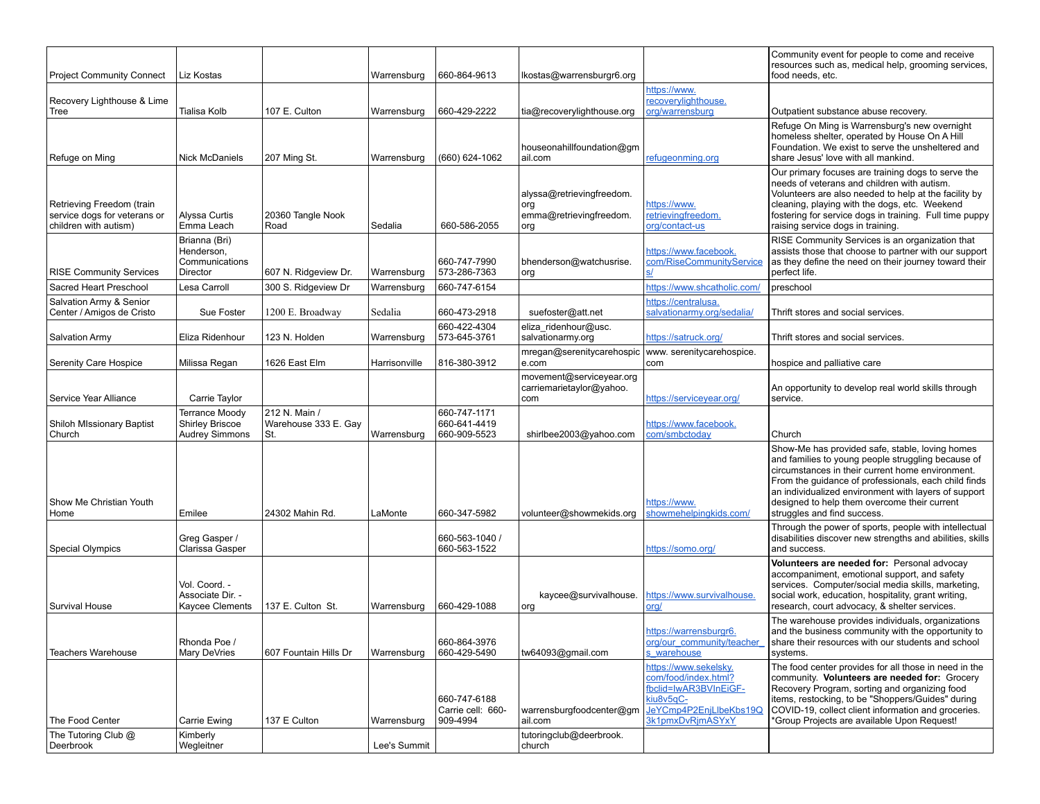| <b>Project Community Connect</b>                                                   | Liz Kostas                                                               |                                              | Warrensburg   | 660-864-9613                                  | lkostas@warrensburgr6.org                                          |                                                                                                                                   | Community event for people to come and receive<br>resources such as, medical help, grooming services,<br>food needs, etc.                                                                                                                                                                                                                                |
|------------------------------------------------------------------------------------|--------------------------------------------------------------------------|----------------------------------------------|---------------|-----------------------------------------------|--------------------------------------------------------------------|-----------------------------------------------------------------------------------------------------------------------------------|----------------------------------------------------------------------------------------------------------------------------------------------------------------------------------------------------------------------------------------------------------------------------------------------------------------------------------------------------------|
| Recovery Lighthouse & Lime                                                         |                                                                          |                                              |               |                                               |                                                                    | https://www.<br>recoverylighthouse.                                                                                               |                                                                                                                                                                                                                                                                                                                                                          |
| Tree                                                                               | Tialisa Kolb                                                             | 107 E. Culton                                | Warrensburg   | 660-429-2222                                  | tia@recoverylighthouse.org                                         | org/warrensburg                                                                                                                   | Outpatient substance abuse recovery.                                                                                                                                                                                                                                                                                                                     |
| Refuge on Ming                                                                     | Nick McDaniels                                                           | 207 Ming St.                                 | Warrensburg   | (660) 624-1062                                | houseonahillfoundation@gm<br>ail.com                               | refugeonming.org                                                                                                                  | Refuge On Ming is Warrensburg's new overnight<br>homeless shelter, operated by House On A Hill<br>Foundation. We exist to serve the unsheltered and<br>share Jesus' love with all mankind.                                                                                                                                                               |
| Retrieving Freedom (train<br>service dogs for veterans or<br>children with autism) | Alvssa Curtis<br>Emma Leach                                              | 20360 Tangle Nook<br>Road                    | Sedalia       | 660-586-2055                                  | alyssa@retrievingfreedom.<br>org<br>emma@retrievingfreedom.<br>org | https://www.<br>retrievingfreedom.<br>org/contact-us                                                                              | Our primary focuses are training dogs to serve the<br>needs of veterans and children with autism.<br>Volunteers are also needed to help at the facility by<br>cleaning, playing with the dogs, etc. Weekend<br>fostering for service dogs in training. Full time puppy<br>raising service dogs in training.                                              |
| <b>RISE Community Services</b>                                                     | Brianna (Bri)<br>Henderson,<br>Communications<br>Director                | 607 N. Ridgeview Dr.                         | Warrensburg   | 660-747-7990<br>573-286-7363                  | bhenderson@watchusrise.<br>org                                     | https://www.facebook.<br>com/RiseCommunityService                                                                                 | RISE Community Services is an organization that<br>assists those that choose to partner with our support<br>as they define the need on their journey toward their<br>perfect life.                                                                                                                                                                       |
| Sacred Heart Preschool                                                             | Lesa Carroll                                                             | 300 S. Ridgeview Dr                          | Warrensburg   | 660-747-6154                                  |                                                                    | https://www.shcatholic.com/                                                                                                       | preschool                                                                                                                                                                                                                                                                                                                                                |
| Salvation Army & Senior<br>Center / Amigos de Cristo                               | Sue Foster                                                               | 1200 E. Broadway                             | Sedalia       | 660-473-2918                                  | suefoster@att.net                                                  | https://centralusa.<br>salvationarmy.org/sedalia/                                                                                 | Thrift stores and social services.                                                                                                                                                                                                                                                                                                                       |
| <b>Salvation Army</b>                                                              | Eliza Ridenhour                                                          | 123 N. Holden                                | Warrensburg   | 660-422-4304<br>573-645-3761                  | eliza ridenhour@usc.<br>salvationarmy.org                          | https://satruck.org/                                                                                                              | Thrift stores and social services.                                                                                                                                                                                                                                                                                                                       |
| Serenity Care Hospice                                                              | Milissa Regan                                                            | 1626 East Elm                                | Harrisonville | 816-380-3912                                  | mregan@serenitycarehospic<br>e.com                                 | www. serenitycarehospice.<br>com                                                                                                  | hospice and palliative care                                                                                                                                                                                                                                                                                                                              |
| Service Year Alliance                                                              | Carrie Taylor                                                            |                                              |               |                                               | movement@serviceyear.org<br>carriemarietaylor@yahoo.<br>com        | https://serviceyear.org/                                                                                                          | An opportunity to develop real world skills through<br>service.                                                                                                                                                                                                                                                                                          |
| <b>Shiloh MIssionary Baptist</b><br>Church                                         | <b>Terrance Moody</b><br><b>Shirley Briscoe</b><br><b>Audrey Simmons</b> | 212 N. Main /<br>Warehouse 333 E. Gay<br>St. | Warrensburg   | 660-747-1171<br>660-641-4419<br>660-909-5523  | shirlbee2003@yahoo.com                                             | https://www.facebook.<br>com/smbctoday                                                                                            | Church                                                                                                                                                                                                                                                                                                                                                   |
| Show Me Christian Youth<br>Home                                                    | Emilee                                                                   | 24302 Mahin Rd.                              | LaMonte       | 660-347-5982                                  | volunteer@showmekids.org                                           | https://www.<br>showmehelpingkids.com/                                                                                            | Show-Me has provided safe, stable, loving homes<br>and families to young people struggling because of<br>circumstances in their current home environment.<br>From the guidance of professionals, each child finds<br>an individualized environment with layers of support<br>designed to help them overcome their current<br>struggles and find success. |
| <b>Special Olympics</b>                                                            | Greg Gasper /<br>Clarissa Gasper                                         |                                              |               | 660-563-1040 /<br>660-563-1522                |                                                                    | https://somo.org/                                                                                                                 | Through the power of sports, people with intellectual<br>disabilities discover new strengths and abilities, skills<br>and success.                                                                                                                                                                                                                       |
| Survival House                                                                     | Vol. Coord. -<br>Associate Dir. -<br>Kaycee Clements                     | 137 E. Culton St.                            | Warrensburg   | 660-429-1088                                  | kaycee@survivalhouse.<br>org                                       | https://www.survivalhouse<br><u>org/</u>                                                                                          | Volunteers are needed for: Personal advocay<br>accompaniment, emotional support, and safety<br>services. Computer/social media skills, marketing,<br>social work, education, hospitality, grant writing,<br>research, court advocacy, & shelter services.                                                                                                |
| <b>Teachers Warehouse</b>                                                          | Rhonda Poe /<br>Mary DeVries                                             | 607 Fountain Hills Dr                        | Warrensburg   | 660-864-3976<br>660-429-5490                  | tw64093@gmail.com                                                  | https://warrensburgr6.<br>org/our community/teacher<br>s warehouse                                                                | The warehouse provides individuals, organizations<br>and the business community with the opportunity to<br>share their resources with our students and school<br>systems.                                                                                                                                                                                |
| The Food Center                                                                    | Carrie Ewing                                                             | 137 E Culton                                 | Warrensburg   | 660-747-6188<br>Carrie cell: 660-<br>909-4994 | warrensburgfoodcenter@gm<br>ail.com                                | https://www.sekelsky.<br>com/food/index.html?<br>fbclid=IwAR3BVInEiGF-<br>kiu8v5qC-<br>JeYCmp4P2EnjLlbeKbs19Q<br>3k1pmxDvRjmASYxY | The food center provides for all those in need in the<br>community. Volunteers are needed for: Grocery<br>Recovery Program, sorting and organizing food<br>items, restocking, to be "Shoppers/Guides" during<br>COVID-19, collect client information and groceries.<br>*Group Projects are available Upon Request!                                       |
| The Tutoring Club @<br>Deerbrook                                                   | Kimberly<br>Wegleitner                                                   |                                              | Lee's Summit  |                                               | tutoringclub@deerbrook.<br>church                                  |                                                                                                                                   |                                                                                                                                                                                                                                                                                                                                                          |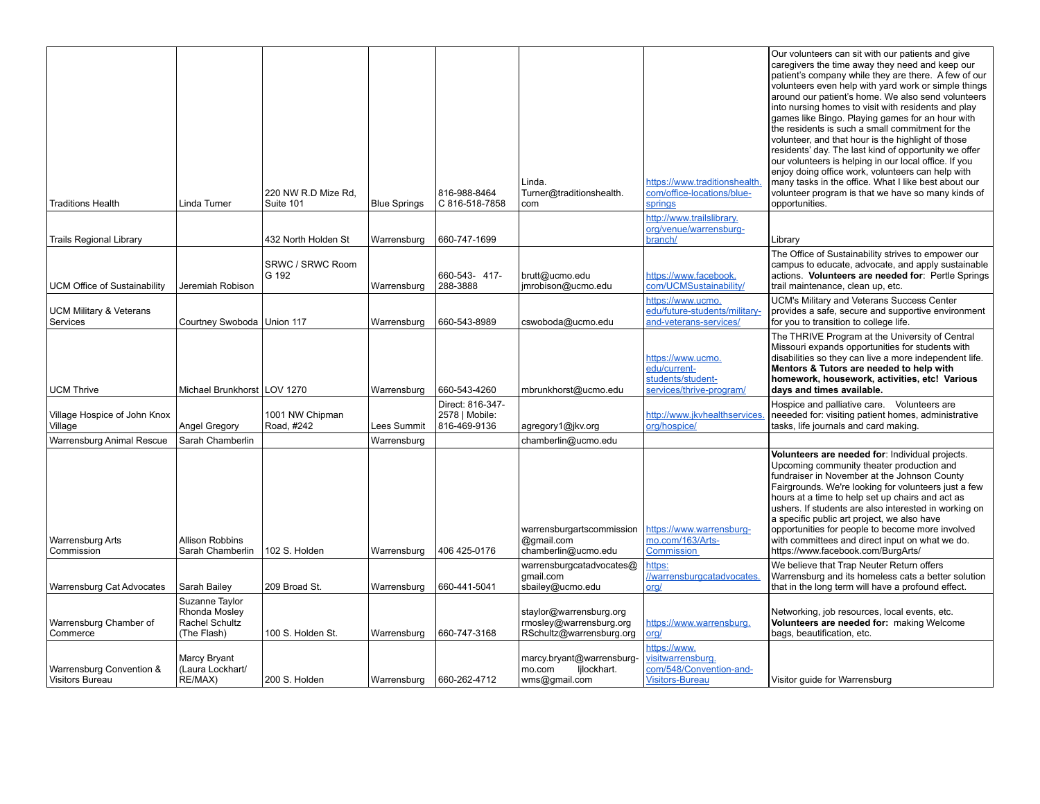| <b>Traditions Health</b>                           | Linda Turner                                                     | 220 NW R.D Mize Rd,<br>Suite 101 | <b>Blue Springs</b> | 816-988-8464<br>C 816-518-7858                     | Linda.<br>Turner@traditionshealth.<br>com                                      | https://www.traditionshealth<br>com/office-locations/blue-<br>springs                  | Our volunteers can sit with our patients and give<br>caregivers the time away they need and keep our<br>patient's company while they are there. A few of our<br>volunteers even help with yard work or simple things<br>around our patient's home. We also send volunteers<br>into nursing homes to visit with residents and play<br>games like Bingo. Playing games for an hour with<br>the residents is such a small commitment for the<br>volunteer, and that hour is the highlight of those<br>residents' day. The last kind of opportunity we offer<br>our volunteers is helping in our local office. If you<br>enjoy doing office work, volunteers can help with<br>many tasks in the office. What I like best about our<br>volunteer program is that we have so many kinds of<br>opportunities. |
|----------------------------------------------------|------------------------------------------------------------------|----------------------------------|---------------------|----------------------------------------------------|--------------------------------------------------------------------------------|----------------------------------------------------------------------------------------|--------------------------------------------------------------------------------------------------------------------------------------------------------------------------------------------------------------------------------------------------------------------------------------------------------------------------------------------------------------------------------------------------------------------------------------------------------------------------------------------------------------------------------------------------------------------------------------------------------------------------------------------------------------------------------------------------------------------------------------------------------------------------------------------------------|
|                                                    |                                                                  |                                  |                     |                                                    |                                                                                | http://www.trailslibrary.                                                              |                                                                                                                                                                                                                                                                                                                                                                                                                                                                                                                                                                                                                                                                                                                                                                                                        |
| <b>Trails Regional Library</b>                     |                                                                  | 432 North Holden St              | Warrensburg         | 660-747-1699                                       |                                                                                | org/venue/warrensburg-<br>branch/                                                      | Library                                                                                                                                                                                                                                                                                                                                                                                                                                                                                                                                                                                                                                                                                                                                                                                                |
|                                                    |                                                                  |                                  |                     |                                                    |                                                                                |                                                                                        | The Office of Sustainability strives to empower our                                                                                                                                                                                                                                                                                                                                                                                                                                                                                                                                                                                                                                                                                                                                                    |
| <b>UCM Office of Sustainability</b>                | Jeremiah Robison                                                 | SRWC / SRWC Room<br>G 192        | Warrensburg         | 660-543-417-<br>288-3888                           | brutt@ucmo.edu<br>jmrobison@ucmo.edu                                           | https://www.facebook.<br>com/UCMSustainability/                                        | campus to educate, advocate, and apply sustainable<br>actions. Volunteers are needed for: Pertle Springs<br>trail maintenance, clean up, etc.                                                                                                                                                                                                                                                                                                                                                                                                                                                                                                                                                                                                                                                          |
| <b>UCM Military &amp; Veterans</b><br>Services     | Courtney Swoboda                                                 | Union 117                        | Warrensburg         | 660-543-8989                                       | cswoboda@ucmo.edu                                                              | https://www.ucmo.<br>edu/future-students/military-<br>and-veterans-services/           | <b>UCM's Military and Veterans Success Center</b><br>provides a safe, secure and supportive environment<br>for you to transition to college life.                                                                                                                                                                                                                                                                                                                                                                                                                                                                                                                                                                                                                                                      |
| <b>UCM Thrive</b>                                  | Michael Brunkhorst LOV 1270                                      |                                  | Warrensburg         | 660-543-4260                                       | mbrunkhorst@ucmo.edu                                                           | https://www.ucmo.<br>edu/current-<br>students/student-<br>services/thrive-program/     | The THRIVE Program at the University of Central<br>Missouri expands opportunities for students with<br>disabilities so they can live a more independent life.<br>Mentors & Tutors are needed to help with<br>homework, housework, activities, etc! Various<br>days and times available.                                                                                                                                                                                                                                                                                                                                                                                                                                                                                                                |
| Village Hospice of John Knox<br>Village            | Angel Gregory                                                    | 1001 NW Chipman<br>Road, #242    | Lees Summit         | Direct: 816-347-<br>2578   Mobile:<br>816-469-9136 | agregory1@jkv.org                                                              | http://www.jkvhealthservices<br>org/hospice/                                           | Hospice and palliative care. Volunteers are<br>neeeded for: visiting patient homes, administrative<br>tasks, life journals and card making.                                                                                                                                                                                                                                                                                                                                                                                                                                                                                                                                                                                                                                                            |
| Warrensburg Animal Rescue                          | Sarah Chamberlin                                                 |                                  | Warrensburg         |                                                    | chamberlin@ucmo.edu                                                            |                                                                                        |                                                                                                                                                                                                                                                                                                                                                                                                                                                                                                                                                                                                                                                                                                                                                                                                        |
| <b>Warrensburg Arts</b><br>Commission              | <b>Allison Robbins</b><br>Sarah Chamberlin                       | 102 S. Holden                    | Warrensburg         | 406 425-0176                                       | warrensburgartscommission<br>@gmail.com<br>chamberlin@ucmo.edu                 | https://www.warrensburg-<br>mo.com/163/Arts-<br>Commission                             | Volunteers are needed for: Individual projects.<br>Upcoming community theater production and<br>fundraiser in November at the Johnson County<br>Fairgrounds. We're looking for volunteers just a few<br>hours at a time to help set up chairs and act as<br>ushers. If students are also interested in working on<br>a specific public art project, we also have<br>opportunities for people to become more involved<br>with committees and direct input on what we do.<br>https://www.facebook.com/BurgArts/                                                                                                                                                                                                                                                                                          |
|                                                    |                                                                  |                                  |                     |                                                    | warrensburgcatadvocates@<br>gmail.com                                          | https:<br>//warrensburgcatadvocates                                                    | We believe that Trap Neuter Return offers<br>Warrensburg and its homeless cats a better solution                                                                                                                                                                                                                                                                                                                                                                                                                                                                                                                                                                                                                                                                                                       |
| Warrensburg Cat Advocates                          | Sarah Bailey                                                     | 209 Broad St.                    | Warrensburg         | 660-441-5041                                       | sbailey@ucmo.edu                                                               | org/                                                                                   | that in the long term will have a profound effect.                                                                                                                                                                                                                                                                                                                                                                                                                                                                                                                                                                                                                                                                                                                                                     |
| Warrensburg Chamber of<br>Commerce                 | Suzanne Taylor<br>Rhonda Mosley<br>Rachel Schultz<br>(The Flash) | 100 S. Holden St.                | Warrensburg         | 660-747-3168                                       | staylor@warrensburg.org<br>rmosley@warrensburg.org<br>RSchultz@warrensburg.org | https://www.warrensburg.<br>org/                                                       | Networking, job resources, local events, etc.<br>Volunteers are needed for: making Welcome<br>bags, beautification, etc.                                                                                                                                                                                                                                                                                                                                                                                                                                                                                                                                                                                                                                                                               |
| Warrensburg Convention &<br><b>Visitors Bureau</b> | Marcy Bryant<br>(Laura Lockhart/<br>RE/MAX)                      | 200 S. Holden                    | Warrensburg         | 660-262-4712                                       | marcy.bryant@warrensburg-<br>lilockhart.<br>mo.com<br>wms@gmail.com            | https://www.<br>visitwarrensburg.<br>com/548/Convention-and-<br><b>Visitors-Bureau</b> | Visitor quide for Warrensburg                                                                                                                                                                                                                                                                                                                                                                                                                                                                                                                                                                                                                                                                                                                                                                          |